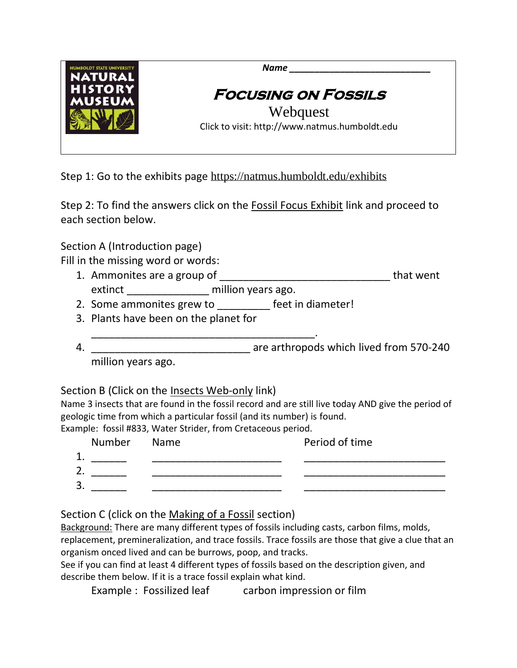

Step 1: Go to the exhibits page <https://natmus.humboldt.edu/exhibits>

Step 2: To find the answers click on the Fossil Focus Exhibit link and proceed to each section below.

Section A (Introduction page)

Fill in the missing word or words:

- 1. Ammonites are a group of \_\_\_\_\_\_\_\_\_\_\_\_\_\_\_\_\_\_\_\_\_\_\_\_\_\_\_\_\_ that went extinct million years ago.
- 2. Some ammonites grew to \_\_\_\_\_\_\_\_\_ feet in diameter!
- 3. Plants have been on the planet for
- \_\_\_\_\_\_\_\_\_\_\_\_\_\_\_\_\_\_\_\_\_\_\_\_\_\_\_\_\_\_\_\_\_\_\_\_\_\_. 4. \_\_\_\_\_\_\_\_\_\_\_\_\_\_\_\_\_\_\_\_\_\_\_\_\_\_\_ are arthropods which lived from 570-240

million years ago.

Section B (Click on the Insects Web-only link)

Name 3 insects that are found in the fossil record and are still live today AND give the period of geologic time from which a particular fossil (and its number) is found.

Example: fossil #833, Water Strider, from Cretaceous period.

|    | Number Name | Period of time |
|----|-------------|----------------|
| ◢  |             |                |
| 2. |             |                |
| 3. |             |                |
|    |             |                |

Section C (click on the Making of a Fossil section)

Background: There are many different types of fossils including casts, carbon films, molds, replacement, premineralization, and trace fossils. Trace fossils are those that give a clue that an organism onced lived and can be burrows, poop, and tracks.

See if you can find at least 4 different types of fossils based on the description given, and describe them below. If it is a trace fossil explain what kind.

Example : Fossilized leaf carbon impression or film